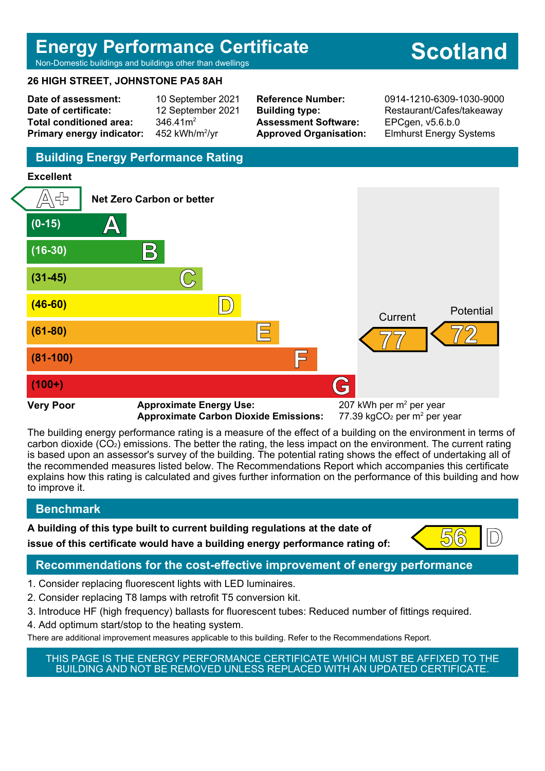## **Energy Performance Certificate**

#### Non-Domestic buildings and buildings other than dwellings

#### **26 HIGH STREET, JOHNSTONE PA5 8AH**

**Date of assessment:** 10 September 2021 **Date of certificate:** 12 September 2021 Total conditioned area: 346.41m<sup>2</sup> **Primary energy indicator:** 452 kWh/m $2/yr$ 

**Assessment Software:** EPCgen, v5.6.b.0

**Reference Number:** 0914-1210-6309-1030-9000 **Building type:** Restaurant/Cafes/takeaway **Approved Organisation:** Elmhurst Energy Systems

## **Building Energy Performance Rating**

#### **Excellent**



Approximate Carbon Dioxide Emissions:

77.39 kgCO<sub>2</sub> per  $m<sup>2</sup>$  per year

The building energy performance rating is a measure of the effect of a building on the environment in terms of carbon dioxide (CO2) emissions. The better the rating, the less impact on the environment. The current rating is based upon an assessor's survey of the building. The potential rating shows the effect of undertaking all of the recommended measures listed below. The Recommendations Report which accompanies this certificate explains how this rating is calculated and gives further information on the performance of this building and how to improve it.

## **Benchmark**

**A building of this type built to current building regulations at the date of issue of this certificate would have a building energy performance rating of:**  $\left( \begin{array}{c} 56 \\ \end{array} \right)$ 



## **Recommendations for the cost-effective improvement of energy performance**

- 1. Consider replacing fluorescent lights with LED luminaires.
- 2. Consider replacing T8 lamps with retrofit T5 conversion kit.
- 3. Introduce HF (high frequency) ballasts for fluorescent tubes: Reduced number of fittings required.
- 4. Add optimum start/stop to the heating system.
- There are additional improvement measures applicable to this building. Refer to the Recommendations Report.

THIS PAGE IS THE ENERGY PERFORMANCE CERTIFICATE WHICH MUST BE AFFIXED TO THE BUILDING AND NOT BE REMOVED UNLESS REPLACED WITH AN UPDATED CERTIFICATE.

# **Scotland**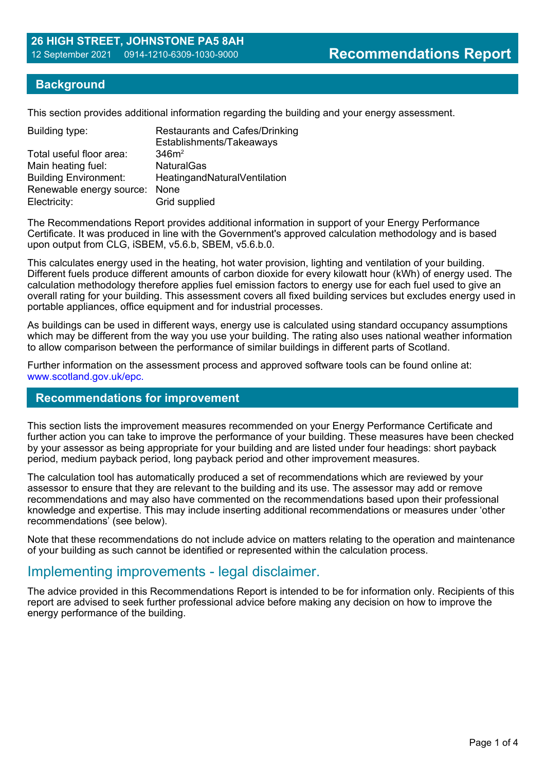#### **Background**

This section provides additional information regarding the building and your energy assessment.

| Building type:                | <b>Restaurants and Cafes/Drinking</b><br>Establishments/Takeaways |
|-------------------------------|-------------------------------------------------------------------|
| Total useful floor area:      | 346m <sup>2</sup>                                                 |
| Main heating fuel:            | <b>NaturalGas</b>                                                 |
| <b>Building Environment:</b>  | HeatingandNaturalVentilation                                      |
| Renewable energy source: None |                                                                   |
| Electricity:                  | Grid supplied                                                     |

The Recommendations Report provides additional information in support of your Energy Performance Certificate. It was produced in line with the Government's approved calculation methodology and is based upon output from CLG, iSBEM, v5.6.b, SBEM, v5.6.b.0.

This calculates energy used in the heating, hot water provision, lighting and ventilation of your building. Different fuels produce different amounts of carbon dioxide for every kilowatt hour (kWh) of energy used. The calculation methodology therefore applies fuel emission factors to energy use for each fuel used to give an overall rating for your building. This assessment covers all fixed building services but excludes energy used in portable appliances, office equipment and for industrial processes.

As buildings can be used in different ways, energy use is calculated using standard occupancy assumptions which may be different from the way you use your building. The rating also uses national weather information to allow comparison between the performance of similar buildings in different parts of Scotland.

Further information on the assessment process and approved software tools can be found online at: www.scotland.gov.uk/epc.

#### **Recommendations for improvement**

This section lists the improvement measures recommended on your Energy Performance Certificate and further action you can take to improve the performance of your building. These measures have been checked by your assessor as being appropriate for your building and are listed under four headings: short payback period, medium payback period, long payback period and other improvement measures.

The calculation tool has automatically produced a set of recommendations which are reviewed by your assessor to ensure that they are relevant to the building and its use. The assessor may add or remove recommendations and may also have commented on the recommendations based upon their professional knowledge and expertise. This may include inserting additional recommendations or measures under 'other recommendations' (see below).

Note that these recommendations do not include advice on matters relating to the operation and maintenance of your building as such cannot be identified or represented within the calculation process.

## Implementing improvements - legal disclaimer.

The advice provided in this Recommendations Report is intended to be for information only. Recipients of this report are advised to seek further professional advice before making any decision on how to improve the energy performance of the building.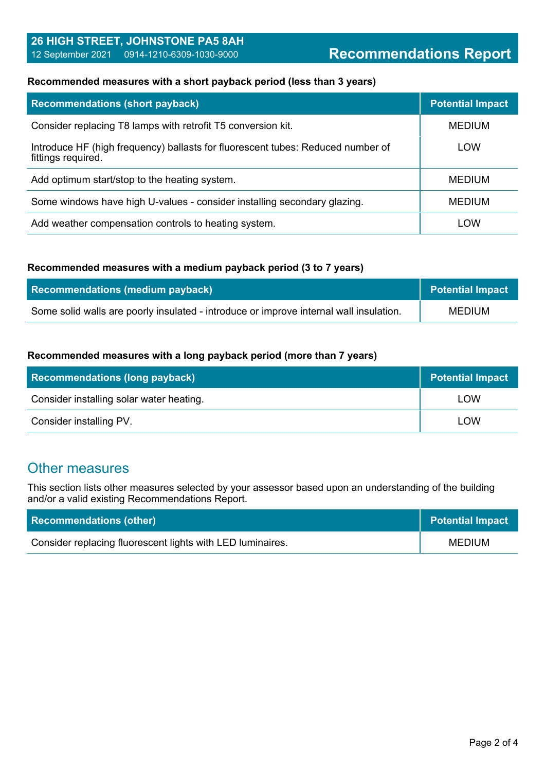## **26 HIGH STREET, JOHNSTONE PA5 8AH** 12 September 2021 0914-1210-6309-1030-9000 **Recommendations Report**

#### **Recommended measures with a short payback period (less than 3 years)**

| <b>Recommendations (short payback)</b>                                                                | <b>Potential Impact</b> |
|-------------------------------------------------------------------------------------------------------|-------------------------|
| Consider replacing T8 lamps with retrofit T5 conversion kit.                                          | <b>MEDIUM</b>           |
| Introduce HF (high frequency) ballasts for fluorescent tubes: Reduced number of<br>fittings required. | LOW                     |
| Add optimum start/stop to the heating system.                                                         | <b>MEDIUM</b>           |
| Some windows have high U-values - consider installing secondary glazing.                              | <b>MEDIUM</b>           |
| Add weather compensation controls to heating system.                                                  | LOW                     |

#### **Recommended measures with a medium payback period (3 to 7 years)**

| <b>Recommendations (medium payback)</b>                                                | Potential Impact |
|----------------------------------------------------------------------------------------|------------------|
| Some solid walls are poorly insulated - introduce or improve internal wall insulation. | MEDIUM           |

#### **Recommended measures with a long payback period (more than 7 years)**

| <b>Recommendations (long payback)</b>    | Potential Impact |
|------------------------------------------|------------------|
| Consider installing solar water heating. | LOW              |
| Consider installing PV.                  | LOW              |

## Other measures

This section lists other measures selected by your assessor based upon an understanding of the building and/or a valid existing Recommendations Report.

| <b>Recommendations (other)</b>                             | Potential Impact |
|------------------------------------------------------------|------------------|
| Consider replacing fluorescent lights with LED luminaires. | <b>MEDIUM</b>    |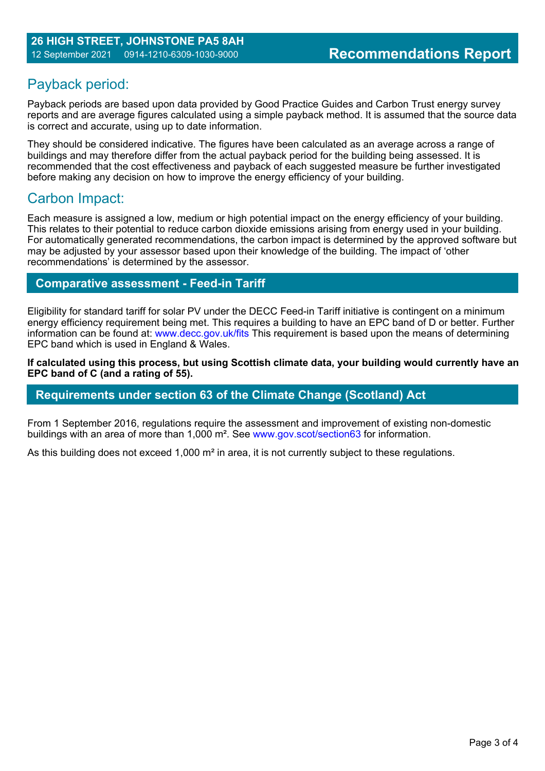## Payback period:

Payback periods are based upon data provided by Good Practice Guides and Carbon Trust energy survey reports and are average figures calculated using a simple payback method. It is assumed that the source data is correct and accurate, using up to date information.

They should be considered indicative. The figures have been calculated as an average across a range of buildings and may therefore differ from the actual payback period for the building being assessed. It is recommended that the cost effectiveness and payback of each suggested measure be further investigated before making any decision on how to improve the energy efficiency of your building.

## Carbon Impact:

Each measure is assigned a low, medium or high potential impact on the energy efficiency of your building. This relates to their potential to reduce carbon dioxide emissions arising from energy used in your building. For automatically generated recommendations, the carbon impact is determined by the approved software but may be adjusted by your assessor based upon their knowledge of the building. The impact of 'other recommendations' is determined by the assessor.

## **Comparative assessment - Feed-in Tariff**

Eligibility for standard tariff for solar PV under the DECC Feed-in Tariff initiative is contingent on a minimum energy efficiency requirement being met. This requires a building to have an EPC band of D or better. Further information can be found at: www.decc.gov.uk/fits This requirement is based upon the means of determining EPC band which is used in England & Wales.

**If calculated using this process, but using Scottish climate data, your building would currently have an EPC band of C (and a rating of 55).**

## **Requirements under section 63 of the Climate Change (Scotland) Act**

From 1 September 2016, regulations require the assessment and improvement of existing non-domestic buildings with an area of more than 1,000 m². See www.gov.scot/section63 for information.

As this building does not exceed 1,000 m<sup>2</sup> in area, it is not currently subject to these regulations.